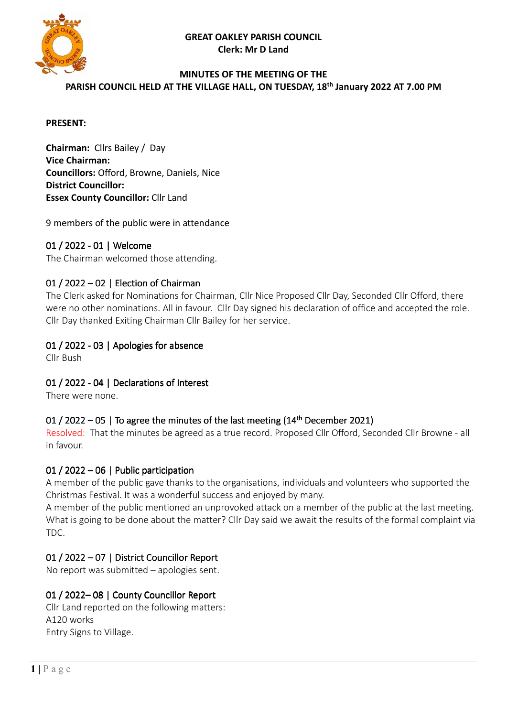**GREAT OAKLEY PARISH COUNCIL Clerk: Mr D Land** 



#### **MINUTES OF THE MEETING OF THE**

**PARISH COUNCIL HELD AT THE VILLAGE HALL, ON TUESDAY, 18th January 2022 AT 7.00 PM** 

#### **PRESENT:**

**Chairman:** Cllrs Bailey / Day **Vice Chairman: Councillors:** Offord, Browne, Daniels, Nice **District Councillor: Essex County Councillor:** Cllr Land

9 members of the public were in attendance

#### 01 / 2022 - 01 | Welcome

The Chairman welcomed those attending.

#### 01 / 2022 – 02 | Election of Chairman

The Clerk asked for Nominations for Chairman, Cllr Nice Proposed Cllr Day, Seconded Cllr Offord, there were no other nominations. All in favour. Cllr Day signed his declaration of office and accepted the role. Cllr Day thanked Exiting Chairman Cllr Bailey for her service.

### 01 / 2022 - 03 | Apologies for absence

Cllr Bush

01 / 2022 - 04 | Declarations of Interest

There were none.

#### 01 / 2022 – 05 | To agree the minutes of the last meeting  $(14<sup>th</sup>$  December 2021)

Resolved: That the minutes be agreed as a true record. Proposed Cllr Offord, Seconded Cllr Browne - all in favour.

#### 01 / 2022 – 06 | Public participation

A member of the public gave thanks to the organisations, individuals and volunteers who supported the Christmas Festival. It was a wonderful success and enjoyed by many.

A member of the public mentioned an unprovoked attack on a member of the public at the last meeting. What is going to be done about the matter? Cllr Day said we await the results of the formal complaint via TDC.

### 01 / 2022 - 07 | District Councillor Report

No report was submitted – apologies sent.

### 01 / 2022-08 | County Councillor Report

Cllr Land reported on the following matters: A120 works Entry Signs to Village.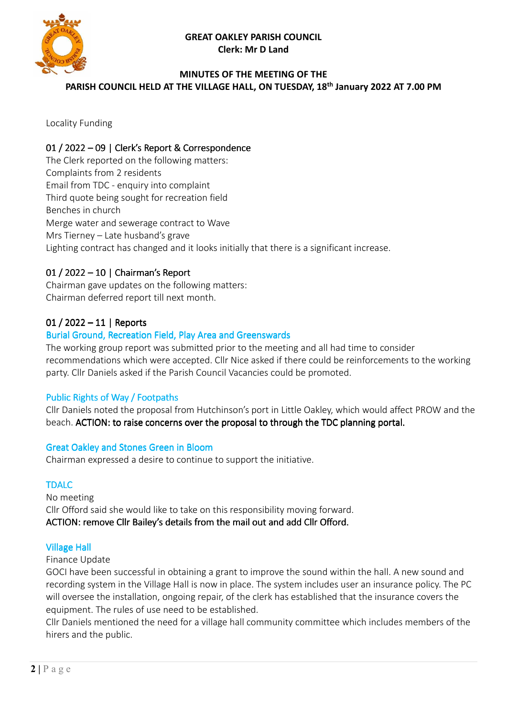#### **GREAT OAKLEY PARISH COUNCIL Clerk: Mr D Land**



### **MINUTES OF THE MEETING OF THE**

**PARISH COUNCIL HELD AT THE VILLAGE HALL, ON TUESDAY, 18th January 2022 AT 7.00 PM** 

Locality Funding

### 01 / 2022 – 09 | Clerk's Report & Correspondence

The Clerk reported on the following matters: Complaints from 2 residents Email from TDC - enquiry into complaint Third quote being sought for recreation field Benches in church Merge water and sewerage contract to Wave Mrs Tierney – Late husband's grave Lighting contract has changed and it looks initially that there is a significant increase.

## 01 / 2022 – 10 | Chairman's Report

Chairman gave updates on the following matters: Chairman deferred report till next month.

## 01 / 2022 – 11 | Reports

### Burial Ground, Recreation Field, Play Area and Greenswards

The working group report was submitted prior to the meeting and all had time to consider recommendations which were accepted. Cllr Nice asked if there could be reinforcements to the working party. Cllr Daniels asked if the Parish Council Vacancies could be promoted.

#### Public Rights of Way / Footpaths

Cllr Daniels noted the proposal from Hutchinson's port in Little Oakley, which would affect PROW and the beach. ACTION: to raise concerns over the proposal to through the TDC planning portal.

#### Great Oakley and Stones Green in Bloom

Chairman expressed a desire to continue to support the initiative.

#### TDALC

No meeting Cllr Offord said she would like to take on this responsibility moving forward. ACTION: remove Cllr Bailey's details from the mail out and add Cllr Offord.

#### Village Hall

Finance Update

GOCI have been successful in obtaining a grant to improve the sound within the hall. A new sound and recording system in the Village Hall is now in place. The system includes user an insurance policy. The PC will oversee the installation, ongoing repair, of the clerk has established that the insurance covers the equipment. The rules of use need to be established.

Cllr Daniels mentioned the need for a village hall community committee which includes members of the hirers and the public.